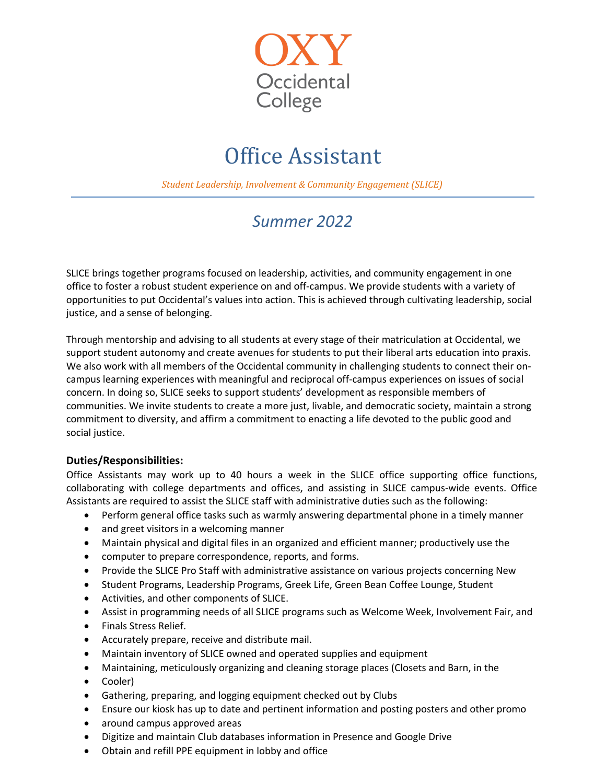

## Office Assistant

**Student Leadership, Involvement & Community Engagement (SLICE)** 

## *Summer 2022*

SLICE brings together programs focused on leadership, activities, and community engagement in one office to foster a robust student experience on and off-campus. We provide students with a variety of opportunities to put Occidental's values into action. This is achieved through cultivating leadership, social justice, and a sense of belonging.

Through mentorship and advising to all students at every stage of their matriculation at Occidental, we support student autonomy and create avenues for students to put their liberal arts education into praxis. We also work with all members of the Occidental community in challenging students to connect their oncampus learning experiences with meaningful and reciprocal off-campus experiences on issues of social concern. In doing so, SLICE seeks to support students' development as responsible members of communities. We invite students to create a more just, livable, and democratic society, maintain a strong commitment to diversity, and affirm a commitment to enacting a life devoted to the public good and social justice.

## **Duties/Responsibilities:**

Office Assistants may work up to 40 hours a week in the SLICE office supporting office functions, collaborating with college departments and offices, and assisting in SLICE campus-wide events. Office Assistants are required to assist the SLICE staff with administrative duties such as the following:

- Perform general office tasks such as warmly answering departmental phone in a timely manner
- and greet visitors in a welcoming manner
- Maintain physical and digital files in an organized and efficient manner; productively use the
- computer to prepare correspondence, reports, and forms.
- Provide the SLICE Pro Staff with administrative assistance on various projects concerning New
- Student Programs, Leadership Programs, Greek Life, Green Bean Coffee Lounge, Student
- Activities, and other components of SLICE.
- Assist in programming needs of all SLICE programs such as Welcome Week, Involvement Fair, and
- Finals Stress Relief.
- Accurately prepare, receive and distribute mail.
- Maintain inventory of SLICE owned and operated supplies and equipment
- Maintaining, meticulously organizing and cleaning storage places (Closets and Barn, in the
- Cooler)
- Gathering, preparing, and logging equipment checked out by Clubs
- Ensure our kiosk has up to date and pertinent information and posting posters and other promo
- around campus approved areas
- Digitize and maintain Club databases information in Presence and Google Drive
- Obtain and refill PPE equipment in lobby and office